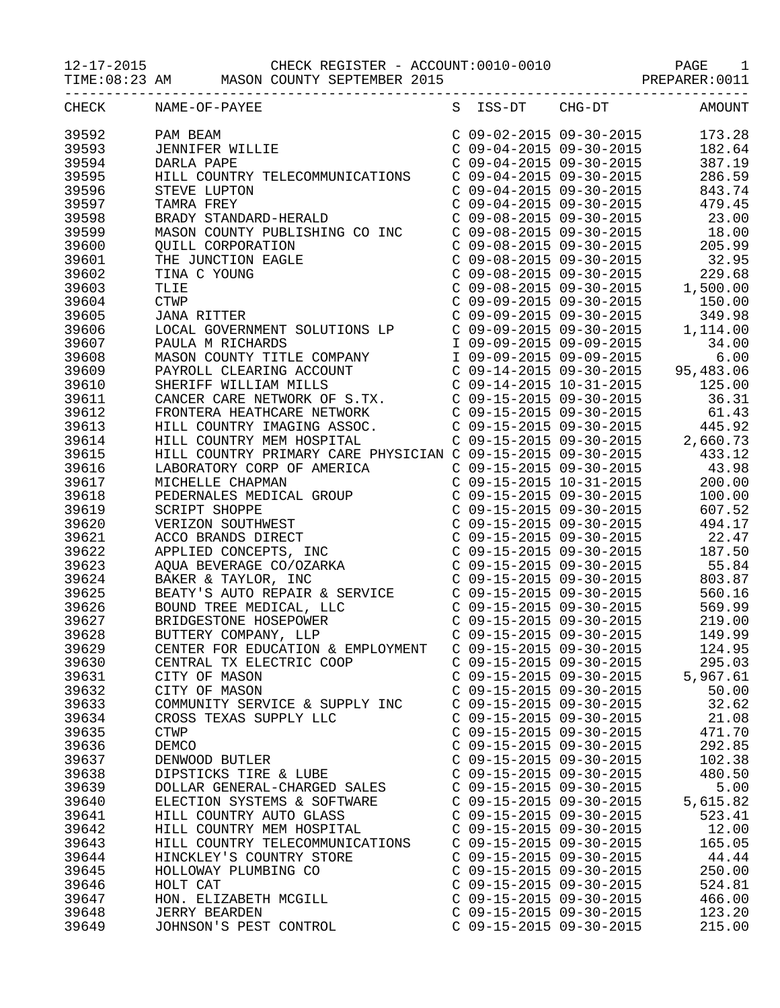12-17-2015 CHECK REGISTER - ACCOUNT:0010-0010 PAGE 1

TIME:08:23 AM MASON COUNTY SEPTEMBER 2015 PREPARER:0011

| CHECK | NAME-OF-PAYEE                                                                                                                                                                                                                                                                                                                                                               |                           | S ISS-DT CHG-DT AMOUNT                                                                                                                                                      |
|-------|-----------------------------------------------------------------------------------------------------------------------------------------------------------------------------------------------------------------------------------------------------------------------------------------------------------------------------------------------------------------------------|---------------------------|-----------------------------------------------------------------------------------------------------------------------------------------------------------------------------|
| 39592 | PAM BEAM<br>JENNIFER WILLIE<br>DARLA PAPE                                                                                                                                                                                                                                                                                                                                   |                           | $\begin{array}{llll} \mbox{C} & 09-02-2015 & 09-30-2015 & 173.28 \\ \mbox{C} & 09-04-2015 & 09-30-2015 & 182.64 \\ \mbox{C} & 09-04-2015 & 09-30-2015 & 387.19 \end{array}$ |
| 39593 |                                                                                                                                                                                                                                                                                                                                                                             |                           |                                                                                                                                                                             |
| 39594 | DARLA PAPE                                                                                                                                                                                                                                                                                                                                                                  |                           |                                                                                                                                                                             |
| 39595 | HILL COUNTRY TELECOMMUNICATIONS     C 09-04-2015     09-30-2015     286.59                                                                                                                                                                                                                                                                                                  |                           |                                                                                                                                                                             |
| 39596 |                                                                                                                                                                                                                                                                                                                                                                             |                           |                                                                                                                                                                             |
| 39597 |                                                                                                                                                                                                                                                                                                                                                                             |                           |                                                                                                                                                                             |
| 39598 | $\begin{tabular}{l c c c c c} {\bf HILL ~COUNTRY THEECOMMUNICATIONS} & $\text{C 09-04-2015 09-30-2015}$ & $286.59$ \\ {\bf STAWR A FREY} & $\text{C 09-04-2015 09-30-2015}$ & $43.74$ \\ {\bf BRADY STANDARD-HERALD} & $\text{C 09-04-2015 09-30-2015}$ & $43.74$ \\ {\bf BRADY STANDARD-HERALD} & $\text{C 09-08-2015 09-30-2015}$ & $43.00$ \\ {\bf$                      |                           |                                                                                                                                                                             |
| 39599 |                                                                                                                                                                                                                                                                                                                                                                             |                           |                                                                                                                                                                             |
| 39600 |                                                                                                                                                                                                                                                                                                                                                                             |                           |                                                                                                                                                                             |
| 39601 |                                                                                                                                                                                                                                                                                                                                                                             |                           |                                                                                                                                                                             |
|       |                                                                                                                                                                                                                                                                                                                                                                             |                           |                                                                                                                                                                             |
| 39602 |                                                                                                                                                                                                                                                                                                                                                                             |                           |                                                                                                                                                                             |
| 39603 |                                                                                                                                                                                                                                                                                                                                                                             |                           |                                                                                                                                                                             |
| 39604 |                                                                                                                                                                                                                                                                                                                                                                             |                           |                                                                                                                                                                             |
| 39605 |                                                                                                                                                                                                                                                                                                                                                                             |                           |                                                                                                                                                                             |
| 39606 |                                                                                                                                                                                                                                                                                                                                                                             |                           |                                                                                                                                                                             |
| 39607 |                                                                                                                                                                                                                                                                                                                                                                             |                           |                                                                                                                                                                             |
| 39608 |                                                                                                                                                                                                                                                                                                                                                                             |                           |                                                                                                                                                                             |
| 39609 |                                                                                                                                                                                                                                                                                                                                                                             |                           |                                                                                                                                                                             |
| 39610 |                                                                                                                                                                                                                                                                                                                                                                             |                           |                                                                                                                                                                             |
| 39611 |                                                                                                                                                                                                                                                                                                                                                                             |                           |                                                                                                                                                                             |
| 39612 |                                                                                                                                                                                                                                                                                                                                                                             |                           |                                                                                                                                                                             |
| 39613 |                                                                                                                                                                                                                                                                                                                                                                             |                           |                                                                                                                                                                             |
| 39614 |                                                                                                                                                                                                                                                                                                                                                                             |                           |                                                                                                                                                                             |
| 39615 |                                                                                                                                                                                                                                                                                                                                                                             |                           |                                                                                                                                                                             |
| 39616 |                                                                                                                                                                                                                                                                                                                                                                             |                           |                                                                                                                                                                             |
| 39617 |                                                                                                                                                                                                                                                                                                                                                                             |                           |                                                                                                                                                                             |
| 39618 |                                                                                                                                                                                                                                                                                                                                                                             |                           |                                                                                                                                                                             |
| 39619 |                                                                                                                                                                                                                                                                                                                                                                             |                           |                                                                                                                                                                             |
| 39620 |                                                                                                                                                                                                                                                                                                                                                                             |                           |                                                                                                                                                                             |
| 39621 |                                                                                                                                                                                                                                                                                                                                                                             |                           |                                                                                                                                                                             |
| 39622 | $\begin{tabular}{l c c c c c} \textbf{FRONTERA HEATHCARER NETWORK} & $\mathbf{C} & 09-15-2015 & 99-30-2015 & 61.43 \\ \textbf{HILL COUNTARY IMAMGNS ASSOC.} & $\mathbf{C} & 09-15-2015 & 99-30-2015 & 445.92 \\ \textbf{HILL COUNTRY PRIMARY CARE PHYSICIAN C} & 09-15-2015 & 99-30-2015 & 433.12 \\ \textbf{LACORARTORY CORP OF AMERICA} & $\mathbf{C} & 09-15-2015 & 99-$ |                           |                                                                                                                                                                             |
|       |                                                                                                                                                                                                                                                                                                                                                                             |                           |                                                                                                                                                                             |
| 39623 |                                                                                                                                                                                                                                                                                                                                                                             |                           |                                                                                                                                                                             |
| 39624 |                                                                                                                                                                                                                                                                                                                                                                             |                           |                                                                                                                                                                             |
| 39625 |                                                                                                                                                                                                                                                                                                                                                                             |                           |                                                                                                                                                                             |
| 39626 |                                                                                                                                                                                                                                                                                                                                                                             |                           |                                                                                                                                                                             |
| 39627 |                                                                                                                                                                                                                                                                                                                                                                             |                           |                                                                                                                                                                             |
| 39628 |                                                                                                                                                                                                                                                                                                                                                                             |                           |                                                                                                                                                                             |
| 39629 | CENTER FOR EDUCATION & EMPLOYMENT  C 09-15-2015 09-30-2015                                                                                                                                                                                                                                                                                                                  |                           | 124.95                                                                                                                                                                      |
| 39630 | CENTRAL TX ELECTRIC COOP                                                                                                                                                                                                                                                                                                                                                    | $C$ 09-15-2015 09-30-2015 | 295.03                                                                                                                                                                      |
| 39631 | CITY OF MASON                                                                                                                                                                                                                                                                                                                                                               | $C$ 09-15-2015 09-30-2015 | 5,967.61                                                                                                                                                                    |
| 39632 | CITY OF MASON                                                                                                                                                                                                                                                                                                                                                               | $C$ 09-15-2015 09-30-2015 | 50.00                                                                                                                                                                       |
| 39633 | COMMUNITY SERVICE & SUPPLY INC                                                                                                                                                                                                                                                                                                                                              | $C$ 09-15-2015 09-30-2015 | 32.62                                                                                                                                                                       |
| 39634 | CROSS TEXAS SUPPLY LLC                                                                                                                                                                                                                                                                                                                                                      | $C$ 09-15-2015 09-30-2015 | 21.08                                                                                                                                                                       |
| 39635 | <b>CTWP</b>                                                                                                                                                                                                                                                                                                                                                                 | C 09-15-2015 09-30-2015   | 471.70                                                                                                                                                                      |
| 39636 | DEMCO                                                                                                                                                                                                                                                                                                                                                                       | C 09-15-2015 09-30-2015   | 292.85                                                                                                                                                                      |
| 39637 | DENWOOD BUTLER                                                                                                                                                                                                                                                                                                                                                              | C 09-15-2015 09-30-2015   | 102.38                                                                                                                                                                      |
| 39638 | DIPSTICKS TIRE & LUBE                                                                                                                                                                                                                                                                                                                                                       | C 09-15-2015 09-30-2015   | 480.50                                                                                                                                                                      |
| 39639 | DOLLAR GENERAL-CHARGED SALES                                                                                                                                                                                                                                                                                                                                                | $C$ 09-15-2015 09-30-2015 | 5.00                                                                                                                                                                        |
| 39640 | ELECTION SYSTEMS & SOFTWARE                                                                                                                                                                                                                                                                                                                                                 | $C$ 09-15-2015 09-30-2015 | 5,615.82                                                                                                                                                                    |
| 39641 | HILL COUNTRY AUTO GLASS                                                                                                                                                                                                                                                                                                                                                     | $C$ 09-15-2015 09-30-2015 | 523.41                                                                                                                                                                      |
| 39642 | HILL COUNTRY MEM HOSPITAL                                                                                                                                                                                                                                                                                                                                                   | $C$ 09-15-2015 09-30-2015 | 12.00                                                                                                                                                                       |
| 39643 | HILL COUNTRY TELECOMMUNICATIONS                                                                                                                                                                                                                                                                                                                                             | $C$ 09-15-2015 09-30-2015 | 165.05                                                                                                                                                                      |
| 39644 | HINCKLEY'S COUNTRY STORE                                                                                                                                                                                                                                                                                                                                                    | C 09-15-2015 09-30-2015   | 44.44                                                                                                                                                                       |
|       |                                                                                                                                                                                                                                                                                                                                                                             |                           |                                                                                                                                                                             |
| 39645 | HOLLOWAY PLUMBING CO                                                                                                                                                                                                                                                                                                                                                        | $C$ 09-15-2015 09-30-2015 | 250.00                                                                                                                                                                      |
| 39646 | HOLT CAT                                                                                                                                                                                                                                                                                                                                                                    | C 09-15-2015 09-30-2015   | 524.81                                                                                                                                                                      |
| 39647 | HON. ELIZABETH MCGILL                                                                                                                                                                                                                                                                                                                                                       | C 09-15-2015 09-30-2015   | 466.00                                                                                                                                                                      |
| 39648 | <b>JERRY BEARDEN</b>                                                                                                                                                                                                                                                                                                                                                        | C 09-15-2015 09-30-2015   | 123.20                                                                                                                                                                      |
| 39649 | JOHNSON'S PEST CONTROL                                                                                                                                                                                                                                                                                                                                                      | C 09-15-2015 09-30-2015   | 215.00                                                                                                                                                                      |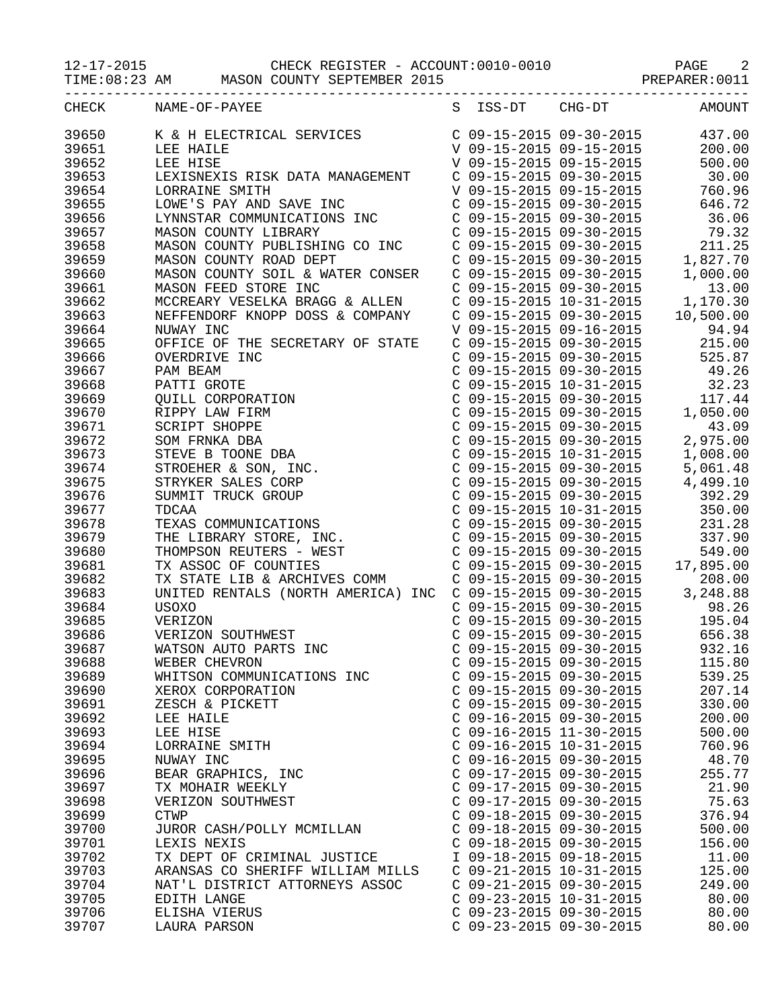## 12-17-2015 CHECK REGISTER - ACCOUNT:0010-0010 PAGE 2

TIME:08:23 AM MASON COUNTY SEPTEMBER 2015 PREPARER:0011

| CHECK | NAME-OF-PAYEE                                                                                                                                                                                                                                          |                           |                         | S ISS-DT CHG-DT AMOUNT                                                                                                                                                                                 |
|-------|--------------------------------------------------------------------------------------------------------------------------------------------------------------------------------------------------------------------------------------------------------|---------------------------|-------------------------|--------------------------------------------------------------------------------------------------------------------------------------------------------------------------------------------------------|
| 39650 |                                                                                                                                                                                                                                                        |                           |                         |                                                                                                                                                                                                        |
| 39651 |                                                                                                                                                                                                                                                        |                           |                         |                                                                                                                                                                                                        |
| 39652 |                                                                                                                                                                                                                                                        |                           |                         |                                                                                                                                                                                                        |
| 39653 |                                                                                                                                                                                                                                                        |                           |                         |                                                                                                                                                                                                        |
| 39654 | 1.EXISNEXIS RISK DATA MANAGEMENT<br>1. DONE 'S PAY AND SAVE INC C 09-15-2015 09-30-2015 760.96<br>LOWE'S PAY AND SAVE INC C 09-15-2015 09-30-2015 646.72<br>1.YNNSTAR COMMUNICATIONS INC C 09-15-2015 09-30-2015 36.06<br>MASON COUNTY                 |                           |                         |                                                                                                                                                                                                        |
| 39655 |                                                                                                                                                                                                                                                        |                           |                         |                                                                                                                                                                                                        |
|       |                                                                                                                                                                                                                                                        |                           |                         |                                                                                                                                                                                                        |
| 39656 |                                                                                                                                                                                                                                                        |                           |                         |                                                                                                                                                                                                        |
| 39657 |                                                                                                                                                                                                                                                        |                           |                         |                                                                                                                                                                                                        |
| 39658 |                                                                                                                                                                                                                                                        |                           |                         |                                                                                                                                                                                                        |
| 39659 |                                                                                                                                                                                                                                                        |                           |                         |                                                                                                                                                                                                        |
| 39660 |                                                                                                                                                                                                                                                        |                           |                         |                                                                                                                                                                                                        |
| 39661 |                                                                                                                                                                                                                                                        |                           |                         |                                                                                                                                                                                                        |
| 39662 |                                                                                                                                                                                                                                                        |                           |                         |                                                                                                                                                                                                        |
| 39663 |                                                                                                                                                                                                                                                        |                           |                         |                                                                                                                                                                                                        |
| 39664 |                                                                                                                                                                                                                                                        |                           |                         |                                                                                                                                                                                                        |
| 39665 | OFFICE OF THE SECRETARY OF STATE                                                                                                                                                                                                                       |                           |                         | C 09-15-2015 09-30-2015 215.00                                                                                                                                                                         |
| 39666 |                                                                                                                                                                                                                                                        |                           |                         | C 09-15-2015 09-30-2015 525.87                                                                                                                                                                         |
| 39667 |                                                                                                                                                                                                                                                        |                           |                         |                                                                                                                                                                                                        |
| 39668 |                                                                                                                                                                                                                                                        |                           |                         |                                                                                                                                                                                                        |
| 39669 |                                                                                                                                                                                                                                                        |                           |                         | C 09-15-2015 09-30-2015<br>C 09-15-2015 10-31-2015 32.23<br>C 09-15-2015 09-30-2015 117.44<br>C 09-15-2015 09-30-2015 1,050.00                                                                         |
| 39670 |                                                                                                                                                                                                                                                        |                           |                         |                                                                                                                                                                                                        |
| 39671 |                                                                                                                                                                                                                                                        |                           |                         | C 09-15-2015 09-30-2015<br>C 09-15-2015 09-30-2015<br>C 09-15-2015 09-30-2015<br>C 09-15-2015 10-31-2015<br>C 09-15-2015 09-30-2015<br>C 09-15-2015 09-30-2015<br>4,499.10                             |
| 39672 |                                                                                                                                                                                                                                                        |                           |                         |                                                                                                                                                                                                        |
| 39673 |                                                                                                                                                                                                                                                        |                           |                         |                                                                                                                                                                                                        |
| 39674 |                                                                                                                                                                                                                                                        |                           |                         |                                                                                                                                                                                                        |
| 39675 |                                                                                                                                                                                                                                                        |                           |                         |                                                                                                                                                                                                        |
| 39676 | OFFICE OF THE SECRETARY OF STATE<br>OVERDRIVE INC<br>PAM BEAM<br>PATTI GROTE<br>QUILL CORPORATION<br>RIPPY LAW FIRM<br>SCRIPT SHOPPE<br>SOM FRNKA DBA<br>STEVE B TOONE DBA<br>STROEHER & SON, INC.<br>STROEHER & SON, INC.<br>UMMIT TRUCK GROUP<br>TDC |                           |                         | C 09-15-2015 09-30-2015 392.29                                                                                                                                                                         |
|       |                                                                                                                                                                                                                                                        |                           |                         |                                                                                                                                                                                                        |
| 39677 |                                                                                                                                                                                                                                                        |                           |                         | $C$ 09-15-2015 10-31-2015 350.00                                                                                                                                                                       |
| 39678 |                                                                                                                                                                                                                                                        |                           |                         | C 09-15-2015 09-30-2015<br>C 09-15-2015 09-30-2015 337.90<br>C 09-15-2015 09-30-2015 549.00<br>C 09-15-2015 09-30-2015 17,895.00                                                                       |
| 39679 |                                                                                                                                                                                                                                                        |                           |                         |                                                                                                                                                                                                        |
| 39680 |                                                                                                                                                                                                                                                        |                           |                         |                                                                                                                                                                                                        |
| 39681 |                                                                                                                                                                                                                                                        |                           |                         |                                                                                                                                                                                                        |
| 39682 | TX STATE LIB & ARCHIVES COMM                                                                                                                                                                                                                           |                           |                         |                                                                                                                                                                                                        |
| 39683 | UNITED RENTALS (NORTH AMERICA) INC                                                                                                                                                                                                                     |                           |                         |                                                                                                                                                                                                        |
| 39684 | USOXO                                                                                                                                                                                                                                                  |                           |                         | C 09-15-2015 09-30-2015<br>C 09-15-2015 09-30-2015 3, 248.88<br>C 09-15-2015 09-30-2015 3, 248.88<br>C 09-15-2015 09-30-2015 98.26<br>C 09-15-2015 09-30-2015 195.04<br>C 09-15-2015 09-30-2015 656.38 |
| 39685 | VERIZON                                                                                                                                                                                                                                                |                           |                         |                                                                                                                                                                                                        |
| 39686 | VERIZON SOUTHWEST                                                                                                                                                                                                                                      |                           |                         |                                                                                                                                                                                                        |
| 39687 | WATSON AUTO PARTS INC                                                                                                                                                                                                                                  |                           | C 09-15-2015 09-30-2015 | 932.16                                                                                                                                                                                                 |
| 39688 | WEBER CHEVRON                                                                                                                                                                                                                                          | C 09-15-2015 09-30-2015   |                         | 115.80                                                                                                                                                                                                 |
| 39689 | WHITSON COMMUNICATIONS INC                                                                                                                                                                                                                             | $C$ 09-15-2015 09-30-2015 |                         | 539.25                                                                                                                                                                                                 |
| 39690 | XEROX CORPORATION                                                                                                                                                                                                                                      | $C$ 09-15-2015 09-30-2015 |                         | 207.14                                                                                                                                                                                                 |
| 39691 | ZESCH & PICKETT                                                                                                                                                                                                                                        | C 09-15-2015 09-30-2015   |                         | 330.00                                                                                                                                                                                                 |
| 39692 | LEE HAILE                                                                                                                                                                                                                                              | $C$ 09-16-2015 09-30-2015 |                         | 200.00                                                                                                                                                                                                 |
| 39693 | LEE HISE                                                                                                                                                                                                                                               | $C$ 09-16-2015 11-30-2015 |                         | 500.00                                                                                                                                                                                                 |
| 39694 | LORRAINE SMITH                                                                                                                                                                                                                                         | C 09-16-2015 10-31-2015   |                         | 760.96                                                                                                                                                                                                 |
| 39695 | NUWAY INC                                                                                                                                                                                                                                              | $C$ 09-16-2015 09-30-2015 |                         | 48.70                                                                                                                                                                                                  |
| 39696 | BEAR GRAPHICS, INC                                                                                                                                                                                                                                     | C 09-17-2015 09-30-2015   |                         | 255.77                                                                                                                                                                                                 |
| 39697 | TX MOHAIR WEEKLY                                                                                                                                                                                                                                       | $C$ 09-17-2015 09-30-2015 |                         | 21.90                                                                                                                                                                                                  |
| 39698 | VERIZON SOUTHWEST                                                                                                                                                                                                                                      | $C$ 09-17-2015 09-30-2015 |                         | 75.63                                                                                                                                                                                                  |
| 39699 | <b>CTWP</b>                                                                                                                                                                                                                                            | C 09-18-2015 09-30-2015   |                         | 376.94                                                                                                                                                                                                 |
| 39700 | JUROR CASH/POLLY MCMILLAN                                                                                                                                                                                                                              | $C$ 09-18-2015 09-30-2015 |                         | 500.00                                                                                                                                                                                                 |
| 39701 | LEXIS NEXIS                                                                                                                                                                                                                                            | $C$ 09-18-2015 09-30-2015 |                         | 156.00                                                                                                                                                                                                 |
| 39702 | TX DEPT OF CRIMINAL JUSTICE                                                                                                                                                                                                                            | I 09-18-2015 09-18-2015   |                         | 11.00                                                                                                                                                                                                  |
|       |                                                                                                                                                                                                                                                        | $C$ 09-21-2015 10-31-2015 |                         |                                                                                                                                                                                                        |
| 39703 | ARANSAS CO SHERIFF WILLIAM MILLS                                                                                                                                                                                                                       |                           |                         | 125.00                                                                                                                                                                                                 |
| 39704 | NAT'L DISTRICT ATTORNEYS ASSOC                                                                                                                                                                                                                         | $C$ 09-21-2015 09-30-2015 |                         | 249.00                                                                                                                                                                                                 |
| 39705 | EDITH LANGE                                                                                                                                                                                                                                            | $C$ 09-23-2015 10-31-2015 |                         | 80.00                                                                                                                                                                                                  |
| 39706 | ELISHA VIERUS                                                                                                                                                                                                                                          | $C$ 09-23-2015 09-30-2015 |                         | 80.00                                                                                                                                                                                                  |
| 39707 | LAURA PARSON                                                                                                                                                                                                                                           | C 09-23-2015 09-30-2015   |                         | 80.00                                                                                                                                                                                                  |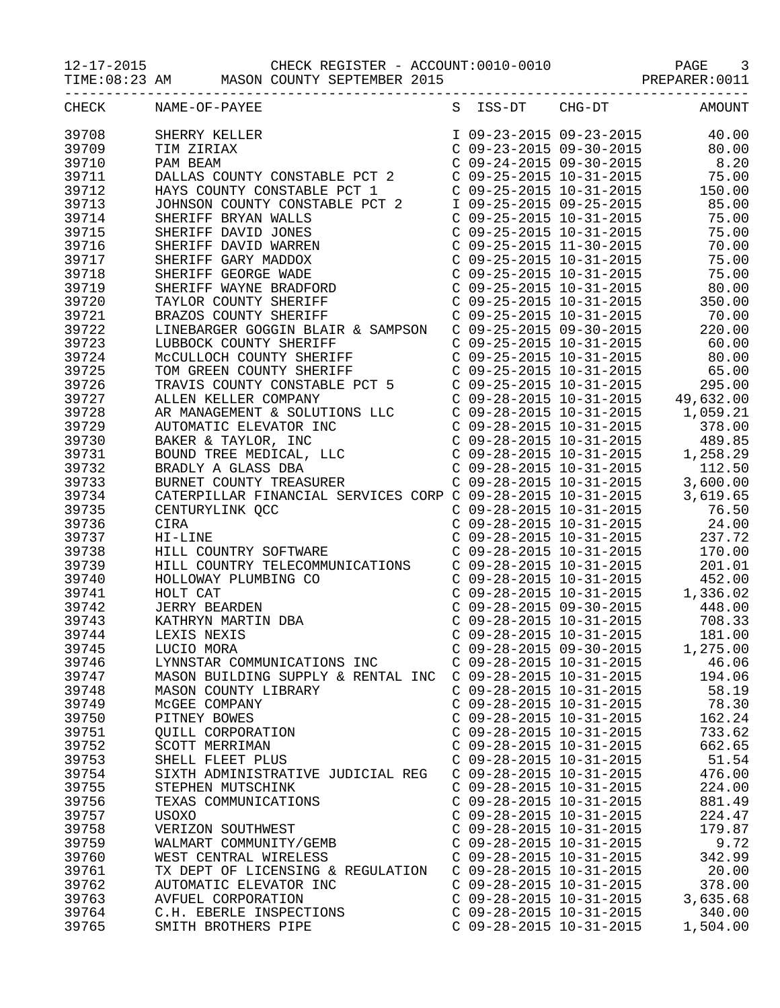12-17-2015 CHECK REGISTER - ACCOUNT:0010-0010 PAGE 3

TIME:08:23 AM MASON COUNTY SEPTEMBER 2015 PREPARER:0011

| CHECK | NAME-OF-PAYEE                                                                                                                                                                                                                                    |                           | S ISS-DT CHG-DT AMOUNT                                                                                                                                                                                |          |
|-------|--------------------------------------------------------------------------------------------------------------------------------------------------------------------------------------------------------------------------------------------------|---------------------------|-------------------------------------------------------------------------------------------------------------------------------------------------------------------------------------------------------|----------|
| 39708 | SHERRY KELLER<br>TIM ZIRIAX<br>C 09-23-2015 09-23-2015<br>C 09-23-2015 09-30-2015<br>C 09-24-2015 09-30-2015<br>C 09-24-2015 09-30-2015<br>C 09-25-2015 10-31-2015<br>HAYS COUNTY CONSTABLE PCT 1<br>C 09-25-2015 10-31-2015<br>C 09-25-2015 10- |                           |                                                                                                                                                                                                       |          |
| 39709 |                                                                                                                                                                                                                                                  |                           |                                                                                                                                                                                                       |          |
| 39710 |                                                                                                                                                                                                                                                  |                           |                                                                                                                                                                                                       |          |
| 39711 |                                                                                                                                                                                                                                                  |                           |                                                                                                                                                                                                       |          |
| 39712 |                                                                                                                                                                                                                                                  |                           |                                                                                                                                                                                                       |          |
|       | HAYS COUNTY CONSTABLE PCT 1<br>C 09-25-2015 10-31-2015<br>SHERIFF BRYAN WALLS<br>SHERIFF DAVID JONES<br>C 09-25-2015 10-31-2015<br>C 09-25-2015 10-31-2015<br>C 09-25-2015 10-31-2015<br>T5.00<br>SHERIFF DAVID WARREN C 09-25-2015 11-3         |                           |                                                                                                                                                                                                       |          |
| 39713 |                                                                                                                                                                                                                                                  |                           |                                                                                                                                                                                                       |          |
| 39714 |                                                                                                                                                                                                                                                  |                           |                                                                                                                                                                                                       |          |
| 39715 |                                                                                                                                                                                                                                                  |                           |                                                                                                                                                                                                       |          |
| 39716 |                                                                                                                                                                                                                                                  |                           |                                                                                                                                                                                                       |          |
| 39717 |                                                                                                                                                                                                                                                  |                           |                                                                                                                                                                                                       |          |
| 39718 |                                                                                                                                                                                                                                                  |                           |                                                                                                                                                                                                       |          |
| 39719 | SHERIFF WAYNE BRADFORD<br>TAYLOR COUNTY SHERIFF<br>C 09-25-2015 10-31-2015<br>C 09-25-2015 10-31-2015<br>C 09-25-2015 10-31-2015<br>C 09-25-2015 10-31-2015<br>C 09-25-2015 10-31-2015<br>C 09-25-2015 10-31-2015<br>C 09-25-2015 10-31-2015<br> |                           |                                                                                                                                                                                                       |          |
| 39720 |                                                                                                                                                                                                                                                  |                           |                                                                                                                                                                                                       |          |
| 39721 |                                                                                                                                                                                                                                                  |                           |                                                                                                                                                                                                       |          |
| 39722 |                                                                                                                                                                                                                                                  |                           |                                                                                                                                                                                                       |          |
| 39723 |                                                                                                                                                                                                                                                  |                           |                                                                                                                                                                                                       |          |
| 39724 |                                                                                                                                                                                                                                                  |                           |                                                                                                                                                                                                       |          |
| 39725 |                                                                                                                                                                                                                                                  |                           |                                                                                                                                                                                                       |          |
| 39726 |                                                                                                                                                                                                                                                  |                           |                                                                                                                                                                                                       |          |
| 39727 |                                                                                                                                                                                                                                                  |                           |                                                                                                                                                                                                       |          |
| 39728 |                                                                                                                                                                                                                                                  |                           |                                                                                                                                                                                                       |          |
| 39729 |                                                                                                                                                                                                                                                  |                           |                                                                                                                                                                                                       |          |
| 39730 |                                                                                                                                                                                                                                                  |                           |                                                                                                                                                                                                       |          |
| 39731 |                                                                                                                                                                                                                                                  |                           |                                                                                                                                                                                                       |          |
| 39732 | LINEBARGER GOGGIN BLATE<br>LUBBOCK COUNTY SHERIFF $C$ 09-25-2015 10-31-2015<br>MCCULLOCH COUNTY SHERIFF $C$ 09-25-2015 10-31-2015<br>MCCULLOCH COUNTY SHERIFF $C$ 09-25-2015 10-31-2015<br>TRAVIS COUNTY CONSTABLE PCT 5<br>TRAVIS COUNT         |                           |                                                                                                                                                                                                       |          |
| 39733 |                                                                                                                                                                                                                                                  |                           |                                                                                                                                                                                                       |          |
| 39734 | CATERPILLAR FINANCIAL SERVICES CORP C 09-28-2015 10-31-2015 3,619.65                                                                                                                                                                             |                           |                                                                                                                                                                                                       |          |
| 39735 | CENTURYLINK QCC                                                                                                                                                                                                                                  |                           |                                                                                                                                                                                                       |          |
| 39736 | CC<br>SOFTWARE<br>SOFTWARE<br>CIRA                                                                                                                                                                                                               |                           | C 09-28-2015 10-31-2015<br>C 09-28-2015 10-31-2015<br>C 09-28-2015 10-31-2015<br>C 09-28-2015 10-31-2015<br>C 09-28-2015 10-31-2015<br>C 09-28-2015 10-31-2015<br>170.00                              |          |
| 39737 | HI-LINE                                                                                                                                                                                                                                          |                           |                                                                                                                                                                                                       |          |
| 39738 | HILL COUNTRY SOFTWARE                                                                                                                                                                                                                            |                           |                                                                                                                                                                                                       |          |
| 39739 | HILL COUNTRY TELECOMMUNICATIONS  C 09-28-2015 10-31-2015  201.01                                                                                                                                                                                 |                           |                                                                                                                                                                                                       |          |
| 39740 | HOLLOWAY PLUMBING CO<br>HOLLOWAY PLUMBING CO<br>HOLT CAT<br>JERRY BEARDEN<br>KATHRYN MARTIN DBA<br>LEXIS NEXIS<br>LUCIO MORA                                                                                                                     |                           | C 09-28-2015 10-31-2015<br>C 09-28-2015 10-31-2015<br>C 09-28-2015 10-31-2015<br>C 09-28-2015 09-30-2015<br>C 09-28-2015 10-31-2015<br>C 09-28-2015 10-31-2015<br>C 09-28-2015 09-30-2015<br>1,275.00 |          |
| 39741 |                                                                                                                                                                                                                                                  |                           |                                                                                                                                                                                                       |          |
| 39742 |                                                                                                                                                                                                                                                  |                           |                                                                                                                                                                                                       |          |
| 39743 |                                                                                                                                                                                                                                                  |                           |                                                                                                                                                                                                       |          |
| 39744 |                                                                                                                                                                                                                                                  |                           |                                                                                                                                                                                                       |          |
| 39745 |                                                                                                                                                                                                                                                  |                           |                                                                                                                                                                                                       |          |
| 39746 | LYNNSTAR COMMUNICATIONS INC                                                                                                                                                                                                                      | $C$ 09-28-2015 10-31-2015 |                                                                                                                                                                                                       | 46.06    |
| 39747 | MASON BUILDING SUPPLY & RENTAL INC                                                                                                                                                                                                               | $C$ 09-28-2015 10-31-2015 |                                                                                                                                                                                                       | 194.06   |
| 39748 | MASON COUNTY LIBRARY                                                                                                                                                                                                                             | $C$ 09-28-2015 10-31-2015 |                                                                                                                                                                                                       | 58.19    |
| 39749 | MCGEE COMPANY                                                                                                                                                                                                                                    | $C$ 09-28-2015 10-31-2015 |                                                                                                                                                                                                       | 78.30    |
| 39750 | PITNEY BOWES                                                                                                                                                                                                                                     | $C$ 09-28-2015 10-31-2015 |                                                                                                                                                                                                       | 162.24   |
| 39751 | QUILL CORPORATION                                                                                                                                                                                                                                | $C$ 09-28-2015 10-31-2015 |                                                                                                                                                                                                       | 733.62   |
| 39752 | SCOTT MERRIMAN                                                                                                                                                                                                                                   | $C$ 09-28-2015 10-31-2015 |                                                                                                                                                                                                       | 662.65   |
| 39753 | SHELL FLEET PLUS                                                                                                                                                                                                                                 | $C$ 09-28-2015 10-31-2015 |                                                                                                                                                                                                       | 51.54    |
| 39754 | SIXTH ADMINISTRATIVE JUDICIAL REG                                                                                                                                                                                                                | $C$ 09-28-2015 10-31-2015 |                                                                                                                                                                                                       | 476.00   |
| 39755 |                                                                                                                                                                                                                                                  | $C$ 09-28-2015 10-31-2015 |                                                                                                                                                                                                       | 224.00   |
|       | STEPHEN MUTSCHINK<br>TEXAS COMMUNICATIONS                                                                                                                                                                                                        | $C$ 09-28-2015 10-31-2015 |                                                                                                                                                                                                       |          |
| 39756 |                                                                                                                                                                                                                                                  |                           |                                                                                                                                                                                                       | 881.49   |
| 39757 | <b>USOXO</b>                                                                                                                                                                                                                                     | $C$ 09-28-2015 10-31-2015 |                                                                                                                                                                                                       | 224.47   |
| 39758 | VERIZON SOUTHWEST                                                                                                                                                                                                                                | $C$ 09-28-2015 10-31-2015 |                                                                                                                                                                                                       | 179.87   |
| 39759 | WALMART COMMUNITY/GEMB                                                                                                                                                                                                                           | $C$ 09-28-2015 10-31-2015 |                                                                                                                                                                                                       | 9.72     |
| 39760 | WEST CENTRAL WIRELESS                                                                                                                                                                                                                            | $C$ 09-28-2015 10-31-2015 |                                                                                                                                                                                                       | 342.99   |
| 39761 | TX DEPT OF LICENSING & REGULATION                                                                                                                                                                                                                | $C$ 09-28-2015 10-31-2015 |                                                                                                                                                                                                       | 20.00    |
| 39762 | AUTOMATIC ELEVATOR INC                                                                                                                                                                                                                           | $C$ 09-28-2015 10-31-2015 |                                                                                                                                                                                                       | 378.00   |
| 39763 | AVFUEL CORPORATION                                                                                                                                                                                                                               | $C$ 09-28-2015 10-31-2015 |                                                                                                                                                                                                       | 3,635.68 |
| 39764 | C.H. EBERLE INSPECTIONS                                                                                                                                                                                                                          | $C$ 09-28-2015 10-31-2015 |                                                                                                                                                                                                       | 340.00   |
| 39765 | SMITH BROTHERS PIPE                                                                                                                                                                                                                              | $C$ 09-28-2015 10-31-2015 |                                                                                                                                                                                                       | 1,504.00 |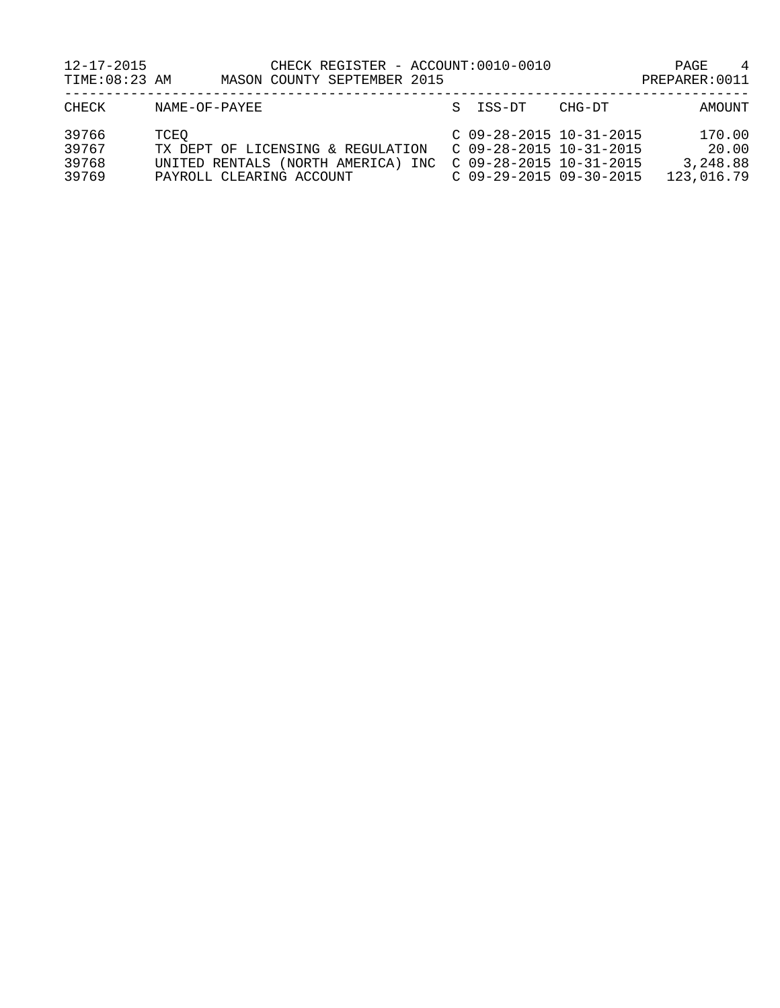| $12 - 17 - 2015$<br>TIME: 08:23 AM | CHECK REGISTER - ACCOUNT:0010-0010<br>MASON COUNTY SEPTEMBER 2015                                           |                                                                                                                  |        | 4<br>PAGE<br>PREPARER: 0011               |
|------------------------------------|-------------------------------------------------------------------------------------------------------------|------------------------------------------------------------------------------------------------------------------|--------|-------------------------------------------|
| CHECK                              | NAME-OF-PAYEE                                                                                               | S ISS-DT                                                                                                         | CHG-DT | AMOUNT                                    |
| 39766<br>39767<br>39768<br>39769   | TCEO<br>TX DEPT OF LICENSING & REGULATION<br>UNITED RENTALS (NORTH AMERICA) INC<br>PAYROLL CLEARING ACCOUNT | $C$ 09-28-2015 10-31-2015<br>$C$ 09-28-2015 10-31-2015<br>$C$ 09-28-2015 10-31-2015<br>$C$ 09-29-2015 09-30-2015 |        | 170.00<br>20.00<br>3,248.88<br>123,016.79 |